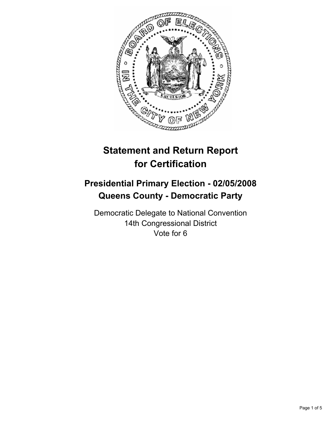

# **Statement and Return Report for Certification**

## **Presidential Primary Election - 02/05/2008 Queens County - Democratic Party**

Democratic Delegate to National Convention 14th Congressional District Vote for 6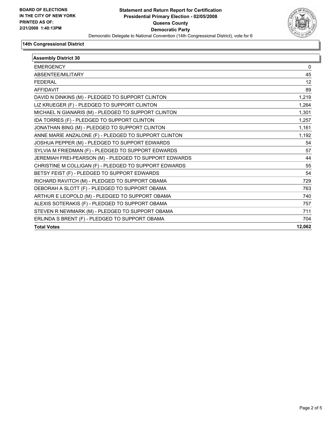

#### **14th Congressional District**

| <b>Assembly District 30</b>                            |        |
|--------------------------------------------------------|--------|
| <b>EMERGENCY</b>                                       | 0      |
| <b>ABSENTFF/MILITARY</b>                               | 45     |
| <b>FEDERAL</b>                                         | 12     |
| <b>AFFIDAVIT</b>                                       | 89     |
| DAVID N DINKINS (M) - PLEDGED TO SUPPORT CLINTON       | 1,219  |
| LIZ KRUEGER (F) - PLEDGED TO SUPPORT CLINTON           | 1,264  |
| MICHAEL N GIANARIS (M) - PLEDGED TO SUPPORT CLINTON    | 1,301  |
| IDA TORRES (F) - PLEDGED TO SUPPORT CLINTON            | 1,257  |
| JONATHAN BING (M) - PLEDGED TO SUPPORT CLINTON         | 1,161  |
| ANNE MARIE ANZALONE (F) - PLEDGED TO SUPPORT CLINTON   | 1,192  |
| JOSHUA PEPPER (M) - PLEDGED TO SUPPORT EDWARDS         | 54     |
| SYLVIA M FRIEDMAN (F) - PLEDGED TO SUPPORT EDWARDS     | 57     |
| JEREMIAH FREI-PEARSON (M) - PLEDGED TO SUPPORT EDWARDS | 44     |
| CHRISTINE M COLLIGAN (F) - PLEDGED TO SUPPORT EDWARDS  | 55     |
| BETSY FEIST (F) - PLEDGED TO SUPPORT EDWARDS           | 54     |
| RICHARD RAVITCH (M) - PLEDGED TO SUPPORT OBAMA         | 729    |
| DEBORAH A SLOTT (F) - PLEDGED TO SUPPORT OBAMA         | 763    |
| ARTHUR E LEOPOLD (M) - PLEDGED TO SUPPORT OBAMA        | 740    |
| ALEXIS SOTERAKIS (F) - PLEDGED TO SUPPORT OBAMA        | 757    |
| STEVEN R NEWMARK (M) - PLEDGED TO SUPPORT OBAMA        | 711    |
| ERLINDA S BRENT (F) - PLEDGED TO SUPPORT OBAMA         | 704    |
| <b>Total Votes</b>                                     | 12,062 |
|                                                        |        |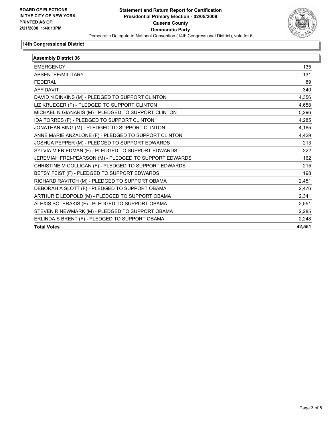

#### **14th Congressional District**

| <b>Assembly District 36</b>                            |        |
|--------------------------------------------------------|--------|
| <b>EMERGENCY</b>                                       | 135    |
| ABSENTEE/MILITARY                                      | 131    |
| <b>FEDERAL</b>                                         | 89     |
| <b>AFFIDAVIT</b>                                       | 340    |
| DAVID N DINKINS (M) - PLEDGED TO SUPPORT CLINTON       | 4,356  |
| LIZ KRUEGER (F) - PLEDGED TO SUPPORT CLINTON           | 4,658  |
| MICHAEL N GIANARIS (M) - PLEDGED TO SUPPORT CLINTON    | 5,296  |
| IDA TORRES (F) - PLEDGED TO SUPPORT CLINTON            | 4,285  |
| JONATHAN BING (M) - PLEDGED TO SUPPORT CLINTON         | 4,165  |
| ANNE MARIE ANZALONE (F) - PLEDGED TO SUPPORT CLINTON   | 4,429  |
| JOSHUA PEPPER (M) - PLEDGED TO SUPPORT EDWARDS         | 213    |
| SYLVIA M FRIEDMAN (F) - PLEDGED TO SUPPORT EDWARDS     | 222    |
| JEREMIAH FREI-PEARSON (M) - PLEDGED TO SUPPORT EDWARDS | 162    |
| CHRISTINE M COLLIGAN (F) - PLEDGED TO SUPPORT EDWARDS  | 215    |
| BETSY FEIST (F) - PLEDGED TO SUPPORT EDWARDS           | 198    |
| RICHARD RAVITCH (M) - PLEDGED TO SUPPORT OBAMA         | 2,451  |
| DEBORAH A SLOTT (F) - PLEDGED TO SUPPORT OBAMA         | 2,476  |
| ARTHUR E LEOPOLD (M) - PLEDGED TO SUPPORT OBAMA        | 2,341  |
| ALEXIS SOTERAKIS (F) - PLEDGED TO SUPPORT OBAMA        | 2,551  |
| STEVEN R NEWMARK (M) - PLEDGED TO SUPPORT OBAMA        | 2,285  |
| ERLINDA S BRENT (F) - PLEDGED TO SUPPORT OBAMA         | 2,248  |
| <b>Total Votes</b>                                     | 42,551 |
|                                                        |        |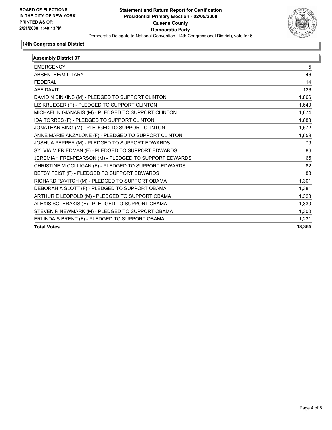

#### **14th Congressional District**

| <b>Assembly District 37</b>                            |        |
|--------------------------------------------------------|--------|
| <b>EMERGENCY</b>                                       | 5      |
| ABSENTEE/MILITARY                                      | 46     |
| <b>FEDERAL</b>                                         | 14     |
| <b>AFFIDAVIT</b>                                       | 126    |
| DAVID N DINKINS (M) - PLEDGED TO SUPPORT CLINTON       | 1,866  |
| LIZ KRUEGER (F) - PLEDGED TO SUPPORT CLINTON           | 1,640  |
| MICHAEL N GIANARIS (M) - PLEDGED TO SUPPORT CLINTON    | 1,674  |
| IDA TORRES (F) - PLEDGED TO SUPPORT CLINTON            | 1,688  |
| JONATHAN BING (M) - PLEDGED TO SUPPORT CLINTON         | 1,572  |
| ANNE MARIE ANZALONE (F) - PLEDGED TO SUPPORT CLINTON   | 1,659  |
| JOSHUA PEPPER (M) - PLEDGED TO SUPPORT EDWARDS         | 79     |
| SYLVIA M FRIEDMAN (F) - PLEDGED TO SUPPORT EDWARDS     | 86     |
| JEREMIAH FREI-PEARSON (M) - PLEDGED TO SUPPORT EDWARDS | 65     |
| CHRISTINE M COLLIGAN (F) - PLEDGED TO SUPPORT EDWARDS  | 82     |
| BETSY FEIST (F) - PLEDGED TO SUPPORT EDWARDS           | 83     |
| RICHARD RAVITCH (M) - PLEDGED TO SUPPORT OBAMA         | 1,301  |
| DEBORAH A SLOTT (F) - PLEDGED TO SUPPORT OBAMA         | 1,381  |
| ARTHUR E LEOPOLD (M) - PLEDGED TO SUPPORT OBAMA        | 1,328  |
| ALEXIS SOTERAKIS (F) - PLEDGED TO SUPPORT OBAMA        | 1,330  |
| STEVEN R NEWMARK (M) - PLEDGED TO SUPPORT OBAMA        | 1,300  |
| ERLINDA S BRENT (F) - PLEDGED TO SUPPORT OBAMA         | 1,231  |
| <b>Total Votes</b>                                     | 18,365 |